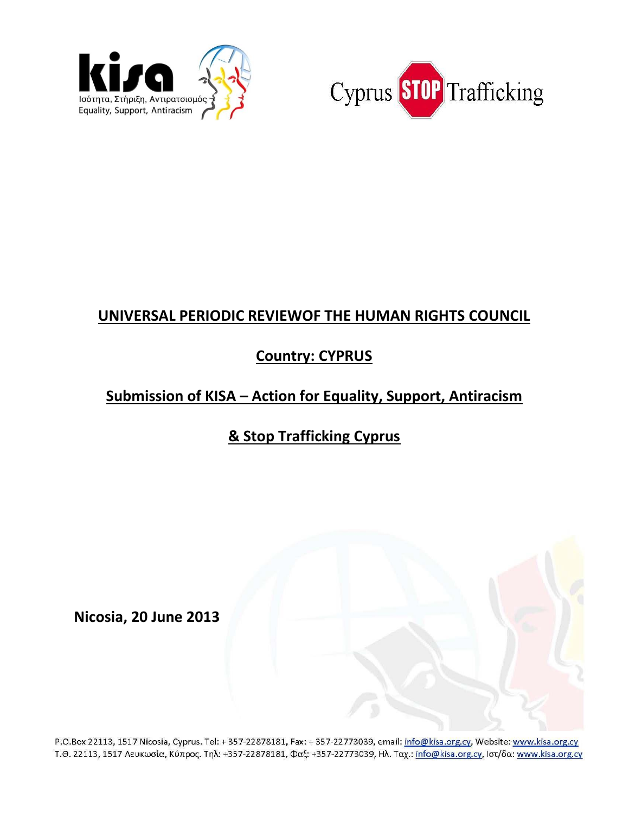



## **UNIVERSAL PERIODIC REVIEWOF THE HUMAN RIGHTS COUNCIL**

## **Country: CYPRUS**

## **Submission of KISA – Action for Equality, Support, Antiracism**

# **& Stop Trafficking Cyprus**

**Nicosia, 20 June 2013** 

P.O.Box 22113, 1517 Nicosia, Cyprus. Tel: + 357-22878181, Fax: + 357-22773039, email: info@kisa.org.cy, Website: www.kisa.org.cy Τ.Θ. 22113, 1517 Λευκωσία, Κύπρος. Τηλ: +357-22878181, Φαξ: +357-22773039, Ηλ. Ταχ.: info@kisa.org.cy, Ιστ/δα: www.kisa.org.cy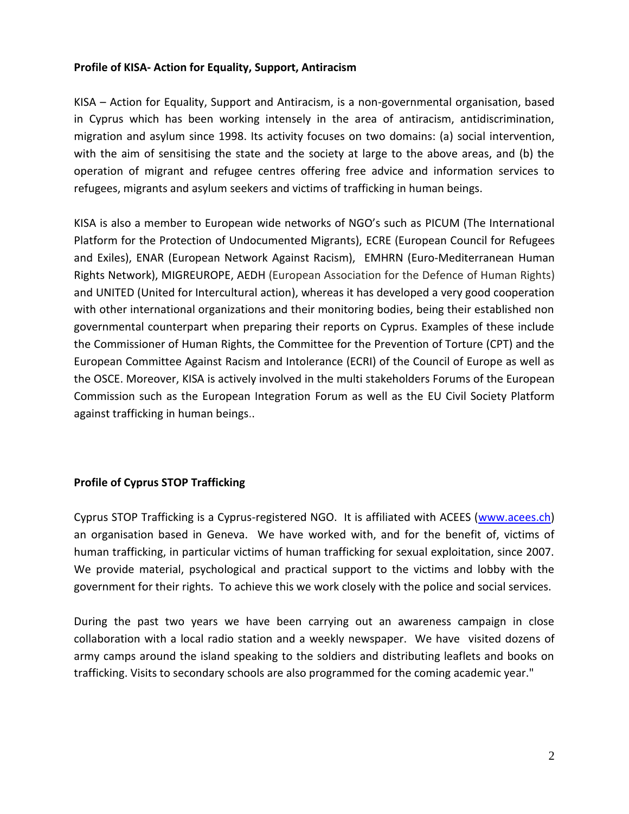## **Profile of KISA- Action for Equality, Support, Antiracism**

KISA – Action for Equality, Support and Antiracism, is a non-governmental organisation, based in Cyprus which has been working intensely in the area of antiracism, antidiscrimination, migration and asylum since 1998. Its activity focuses on two domains: (a) social intervention, with the aim of sensitising the state and the society at large to the above areas, and (b) the operation of migrant and refugee centres offering free advice and information services to refugees, migrants and asylum seekers and victims of trafficking in human beings.

KISA is also a member to European wide networks of NGO's such as PICUM (The International Platform for the Protection of Undocumented Migrants), ECRE (European Council for Refugees and Exiles), ENAR (European Network Against Racism), EMHRN (Euro-Mediterranean Human Rights Network), MIGREUROPE, AEDH (European Association for the Defence of Human Rights) and UNITED (United for Intercultural action), whereas it has developed a very good cooperation with other international organizations and their monitoring bodies, being their established non governmental counterpart when preparing their reports on Cyprus. Examples of these include the Commissioner of Human Rights, the Committee for the Prevention of Torture (CPT) and the European Committee Against Racism and Intolerance (ECRI) of the Council of Europe as well as the OSCE. Moreover, KISA is actively involved in the multi stakeholders Forums of the European Commission such as the European Integration Forum as well as the EU Civil Society Platform against trafficking in human beings..

## **Profile of Cyprus STOP Trafficking**

Cyprus STOP Trafficking is a Cyprus-registered NGO. It is affiliated with ACEES [\(www.acees.ch\)](http://www.acees.ch/) an organisation based in Geneva. We have worked with, and for the benefit of, victims of human trafficking, in particular victims of human trafficking for sexual exploitation, since 2007. We provide material, psychological and practical support to the victims and lobby with the government for their rights. To achieve this we work closely with the police and social services.

During the past two years we have been carrying out an awareness campaign in close collaboration with a local radio station and a weekly newspaper. We have visited dozens of army camps around the island speaking to the soldiers and distributing leaflets and books on trafficking. Visits to secondary schools are also programmed for the coming academic year."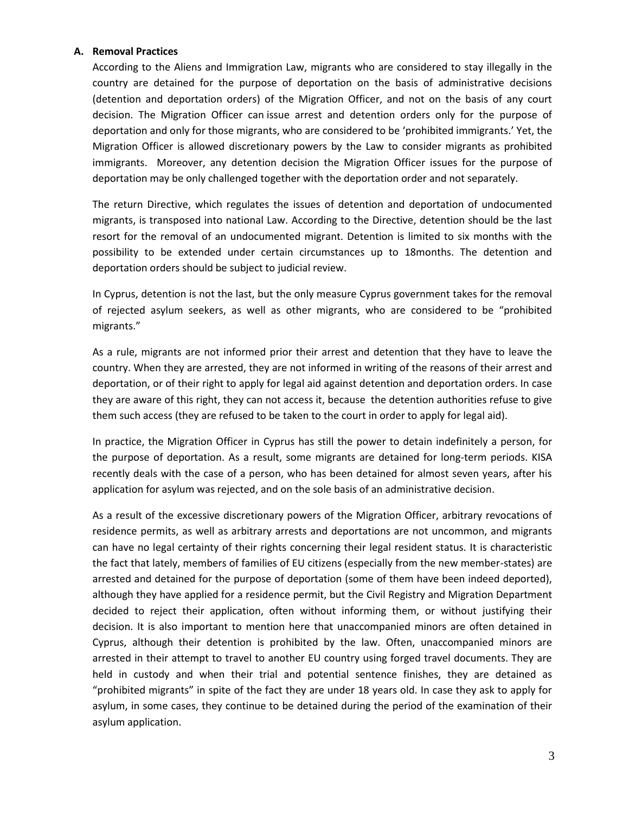#### **A. Removal Practices**

According to the Aliens and Immigration Law, migrants who are considered to stay illegally in the country are detained for the purpose of deportation on the basis of administrative decisions (detention and deportation orders) of the Migration Officer, and not on the basis of any court decision. The Migration Officer can issue arrest and detention orders only for the purpose of deportation and only for those migrants, who are considered to be 'prohibited immigrants.' Yet, the Migration Officer is allowed discretionary powers by the Law to consider migrants as prohibited immigrants. Moreover, any detention decision the Migration Officer issues for the purpose of deportation may be only challenged together with the deportation order and not separately.

The return Directive, which regulates the issues of detention and deportation of undocumented migrants, is transposed into national Law. According to the Directive, detention should be the last resort for the removal of an undocumented migrant. Detention is limited to six months with the possibility to be extended under certain circumstances up to 18months. The detention and deportation orders should be subject to judicial review.

In Cyprus, detention is not the last, but the only measure Cyprus government takes for the removal of rejected asylum seekers, as well as other migrants, who are considered to be "prohibited migrants."

As a rule, migrants are not informed prior their arrest and detention that they have to leave the country. When they are arrested, they are not informed in writing of the reasons of their arrest and deportation, or of their right to apply for legal aid against detention and deportation orders. In case they are aware of this right, they can not access it, because the detention authorities refuse to give them such access (they are refused to be taken to the court in order to apply for legal aid).

In practice, the Migration Officer in Cyprus has still the power to detain indefinitely a person, for the purpose of deportation. As a result, some migrants are detained for long-term periods. KISA recently deals with the case of a person, who has been detained for almost seven years, after his application for asylum was rejected, and on the sole basis of an administrative decision.

As a result of the excessive discretionary powers of the Migration Officer, arbitrary revocations of residence permits, as well as arbitrary arrests and deportations are not uncommon, and migrants can have no legal certainty of their rights concerning their legal resident status. It is characteristic the fact that lately, members of families of EU citizens (especially from the new member-states) are arrested and detained for the purpose of deportation (some of them have been indeed deported), although they have applied for a residence permit, but the Civil Registry and Migration Department decided to reject their application, often without informing them, or without justifying their decision. It is also important to mention here that unaccompanied minors are often detained in Cyprus, although their detention is prohibited by the law. Often, unaccompanied minors are arrested in their attempt to travel to another EU country using forged travel documents. They are held in custody and when their trial and potential sentence finishes, they are detained as "prohibited migrants" in spite of the fact they are under 18 years old. In case they ask to apply for asylum, in some cases, they continue to be detained during the period of the examination of their asylum application.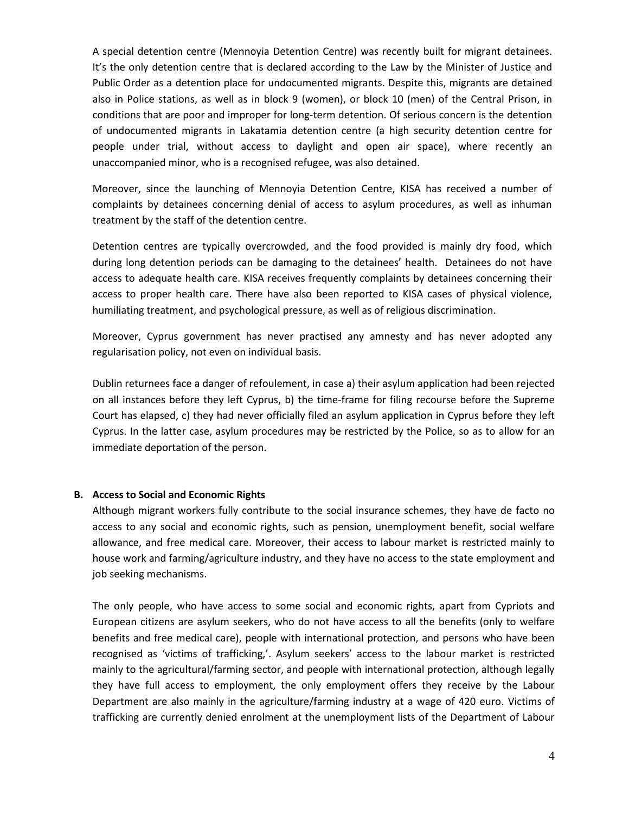A special detention centre (Mennoyia Detention Centre) was recently built for migrant detainees. It's the only detention centre that is declared according to the Law by the Minister of Justice and Public Order as a detention place for undocumented migrants. Despite this, migrants are detained also in Police stations, as well as in block 9 (women), or block 10 (men) of the Central Prison, in conditions that are poor and improper for long-term detention. Of serious concern is the detention of undocumented migrants in Lakatamia detention centre (a high security detention centre for people under trial, without access to daylight and open air space), where recently an unaccompanied minor, who is a recognised refugee, was also detained.

Moreover, since the launching of Mennoyia Detention Centre, KISA has received a number of complaints by detainees concerning denial of access to asylum procedures, as well as inhuman treatment by the staff of the detention centre.

Detention centres are typically overcrowded, and the food provided is mainly dry food, which during long detention periods can be damaging to the detainees' health. Detainees do not have access to adequate health care. KISA receives frequently complaints by detainees concerning their access to proper health care. There have also been reported to KISA cases of physical violence, humiliating treatment, and psychological pressure, as well as of religious discrimination.

Moreover, Cyprus government has never practised any amnesty and has never adopted any regularisation policy, not even on individual basis.

Dublin returnees face a danger of refoulement, in case a) their asylum application had been rejected on all instances before they left Cyprus, b) the time-frame for filing recourse before the Supreme Court has elapsed, c) they had never officially filed an asylum application in Cyprus before they left Cyprus. In the latter case, asylum procedures may be restricted by the Police, so as to allow for an immediate deportation of the person.

#### **B. Access to Social and Economic Rights**

Although migrant workers fully contribute to the social insurance schemes, they have de facto no access to any social and economic rights, such as pension, unemployment benefit, social welfare allowance, and free medical care. Moreover, their access to labour market is restricted mainly to house work and farming/agriculture industry, and they have no access to the state employment and job seeking mechanisms.

The only people, who have access to some social and economic rights, apart from Cypriots and European citizens are asylum seekers, who do not have access to all the benefits (only to welfare benefits and free medical care), people with international protection, and persons who have been recognised as 'victims of trafficking,'. Asylum seekers' access to the labour market is restricted mainly to the agricultural/farming sector, and people with international protection, although legally they have full access to employment, the only employment offers they receive by the Labour Department are also mainly in the agriculture/farming industry at a wage of 420 euro. Victims of trafficking are currently denied enrolment at the unemployment lists of the Department of Labour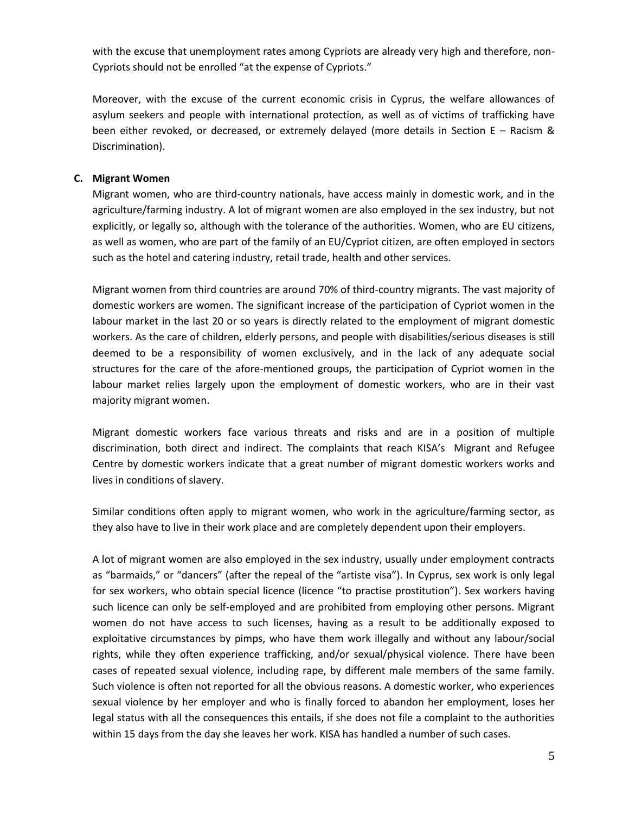with the excuse that unemployment rates among Cypriots are already very high and therefore, non-Cypriots should not be enrolled "at the expense of Cypriots."

Moreover, with the excuse of the current economic crisis in Cyprus, the welfare allowances of asylum seekers and people with international protection, as well as of victims of trafficking have been either revoked, or decreased, or extremely delayed (more details in Section E – Racism & Discrimination).

#### **C. Migrant Women**

Migrant women, who are third-country nationals, have access mainly in domestic work, and in the agriculture/farming industry. A lot of migrant women are also employed in the sex industry, but not explicitly, or legally so, although with the tolerance of the authorities. Women, who are EU citizens, as well as women, who are part of the family of an EU/Cypriot citizen, are often employed in sectors such as the hotel and catering industry, retail trade, health and other services.

Migrant women from third countries are around 70% of third-country migrants. The vast majority of domestic workers are women. The significant increase of the participation of Cypriot women in the labour market in the last 20 or so years is directly related to the employment of migrant domestic workers. As the care of children, elderly persons, and people with disabilities/serious diseases is still deemed to be a responsibility of women exclusively, and in the lack of any adequate social structures for the care of the afore-mentioned groups, the participation of Cypriot women in the labour market relies largely upon the employment of domestic workers, who are in their vast majority migrant women.

Migrant domestic workers face various threats and risks and are in a position of multiple discrimination, both direct and indirect. The complaints that reach KISA's Migrant and Refugee Centre by domestic workers indicate that a great number of migrant domestic workers works and lives in conditions of slavery.

Similar conditions often apply to migrant women, who work in the agriculture/farming sector, as they also have to live in their work place and are completely dependent upon their employers.

A lot of migrant women are also employed in the sex industry, usually under employment contracts as "barmaids," or "dancers" (after the repeal of the "artiste visa"). In Cyprus, sex work is only legal for sex workers, who obtain special licence (licence "to practise prostitution"). Sex workers having such licence can only be self-employed and are prohibited from employing other persons. Migrant women do not have access to such licenses, having as a result to be additionally exposed to exploitative circumstances by pimps, who have them work illegally and without any labour/social rights, while they often experience trafficking, and/or sexual/physical violence. There have been cases of repeated sexual violence, including rape, by different male members of the same family. Such violence is often not reported for all the obvious reasons. A domestic worker, who experiences sexual violence by her employer and who is finally forced to abandon her employment, loses her legal status with all the consequences this entails, if she does not file a complaint to the authorities within 15 days from the day she leaves her work. KISA has handled a number of such cases.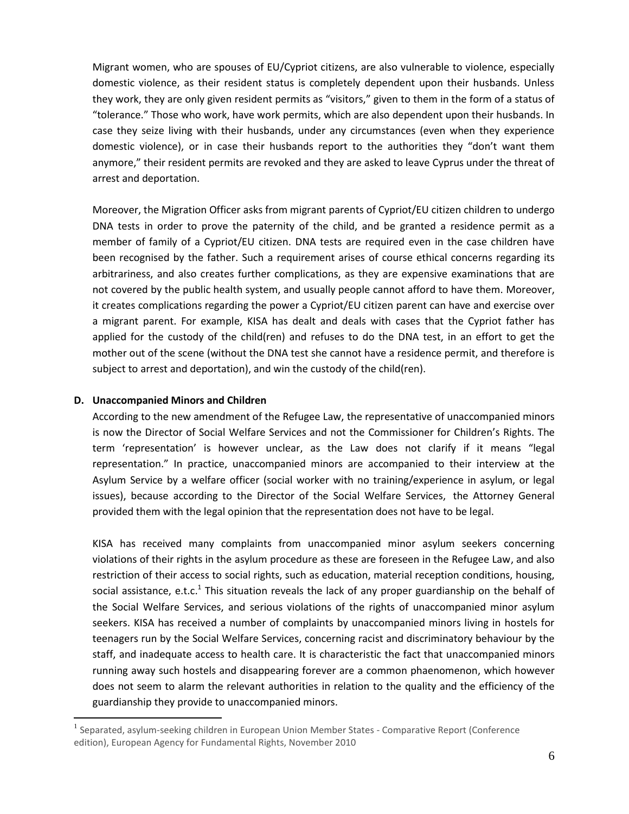Migrant women, who are spouses of EU/Cypriot citizens, are also vulnerable to violence, especially domestic violence, as their resident status is completely dependent upon their husbands. Unless they work, they are only given resident permits as "visitors," given to them in the form of a status of "tolerance." Those who work, have work permits, which are also dependent upon their husbands. In case they seize living with their husbands, under any circumstances (even when they experience domestic violence), or in case their husbands report to the authorities they "don't want them anymore," their resident permits are revoked and they are asked to leave Cyprus under the threat of arrest and deportation.

Moreover, the Migration Officer asks from migrant parents of Cypriot/EU citizen children to undergo DNA tests in order to prove the paternity of the child, and be granted a residence permit as a member of family of a Cypriot/EU citizen. DNA tests are required even in the case children have been recognised by the father. Such a requirement arises of course ethical concerns regarding its arbitrariness, and also creates further complications, as they are expensive examinations that are not covered by the public health system, and usually people cannot afford to have them. Moreover, it creates complications regarding the power a Cypriot/EU citizen parent can have and exercise over a migrant parent. For example, KISA has dealt and deals with cases that the Cypriot father has applied for the custody of the child(ren) and refuses to do the DNA test, in an effort to get the mother out of the scene (without the DNA test she cannot have a residence permit, and therefore is subject to arrest and deportation), and win the custody of the child(ren).

#### **D. Unaccompanied Minors and Children**

 $\overline{\phantom{a}}$ 

According to the new amendment of the Refugee Law, the representative of unaccompanied minors is now the Director of Social Welfare Services and not the Commissioner for Children's Rights. The term 'representation' is however unclear, as the Law does not clarify if it means "legal representation." In practice, unaccompanied minors are accompanied to their interview at the Asylum Service by a welfare officer (social worker with no training/experience in asylum, or legal issues), because according to the Director of the Social Welfare Services, the Attorney General provided them with the legal opinion that the representation does not have to be legal.

KISA has received many complaints from unaccompanied minor asylum seekers concerning violations of their rights in the asylum procedure as these are foreseen in the Refugee Law, and also restriction of their access to social rights, such as education, material reception conditions, housing, social assistance, e.t.c.<sup>1</sup> This situation reveals the lack of any proper guardianship on the behalf of the Social Welfare Services, and serious violations of the rights of unaccompanied minor asylum seekers. KISA has received a number of complaints by unaccompanied minors living in hostels for teenagers run by the Social Welfare Services, concerning racist and discriminatory behaviour by the staff, and inadequate access to health care. It is characteristic the fact that unaccompanied minors running away such hostels and disappearing forever are a common phaenomenon, which however does not seem to alarm the relevant authorities in relation to the quality and the efficiency of the guardianship they provide to unaccompanied minors.

<sup>&</sup>lt;sup>1</sup> Separated, asylum-seeking children in European Union Member States - Comparative Report (Conference edition), European Agency for Fundamental Rights, November 2010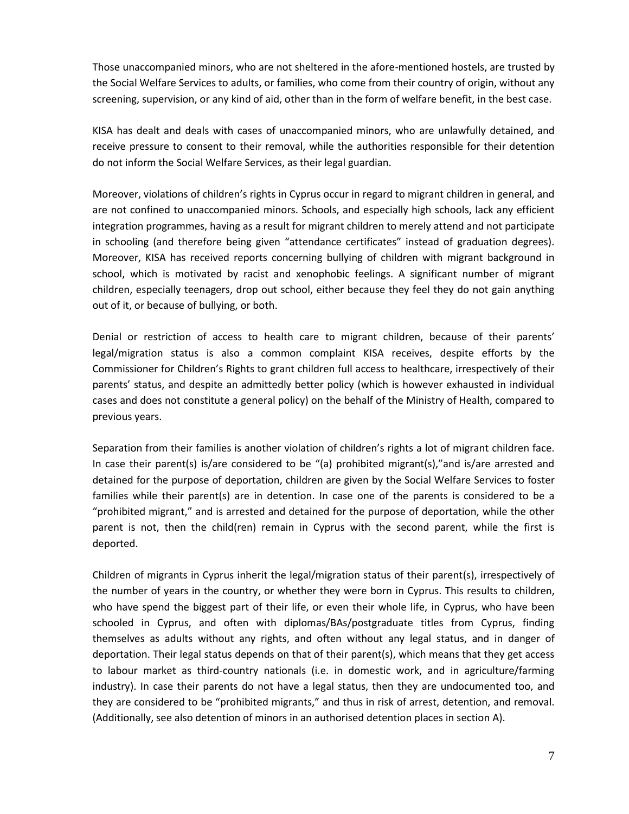Those unaccompanied minors, who are not sheltered in the afore-mentioned hostels, are trusted by the Social Welfare Services to adults, or families, who come from their country of origin, without any screening, supervision, or any kind of aid, other than in the form of welfare benefit, in the best case.

KISA has dealt and deals with cases of unaccompanied minors, who are unlawfully detained, and receive pressure to consent to their removal, while the authorities responsible for their detention do not inform the Social Welfare Services, as their legal guardian.

Moreover, violations of children's rights in Cyprus occur in regard to migrant children in general, and are not confined to unaccompanied minors. Schools, and especially high schools, lack any efficient integration programmes, having as a result for migrant children to merely attend and not participate in schooling (and therefore being given "attendance certificates" instead of graduation degrees). Moreover, KISA has received reports concerning bullying of children with migrant background in school, which is motivated by racist and xenophobic feelings. A significant number of migrant children, especially teenagers, drop out school, either because they feel they do not gain anything out of it, or because of bullying, or both.

Denial or restriction of access to health care to migrant children, because of their parents' legal/migration status is also a common complaint KISA receives, despite efforts by the Commissioner for Children's Rights to grant children full access to healthcare, irrespectively of their parents' status, and despite an admittedly better policy (which is however exhausted in individual cases and does not constitute a general policy) on the behalf of the Ministry of Health, compared to previous years.

Separation from their families is another violation of children's rights a lot of migrant children face. In case their parent(s) is/are considered to be "(a) prohibited migrant(s),"and is/are arrested and detained for the purpose of deportation, children are given by the Social Welfare Services to foster families while their parent(s) are in detention. In case one of the parents is considered to be a "prohibited migrant," and is arrested and detained for the purpose of deportation, while the other parent is not, then the child(ren) remain in Cyprus with the second parent, while the first is deported.

Children of migrants in Cyprus inherit the legal/migration status of their parent(s), irrespectively of the number of years in the country, or whether they were born in Cyprus. This results to children, who have spend the biggest part of their life, or even their whole life, in Cyprus, who have been schooled in Cyprus, and often with diplomas/BAs/postgraduate titles from Cyprus, finding themselves as adults without any rights, and often without any legal status, and in danger of deportation. Their legal status depends on that of their parent(s), which means that they get access to labour market as third-country nationals (i.e. in domestic work, and in agriculture/farming industry). In case their parents do not have a legal status, then they are undocumented too, and they are considered to be "prohibited migrants," and thus in risk of arrest, detention, and removal. (Additionally, see also detention of minors in an authorised detention places in section A).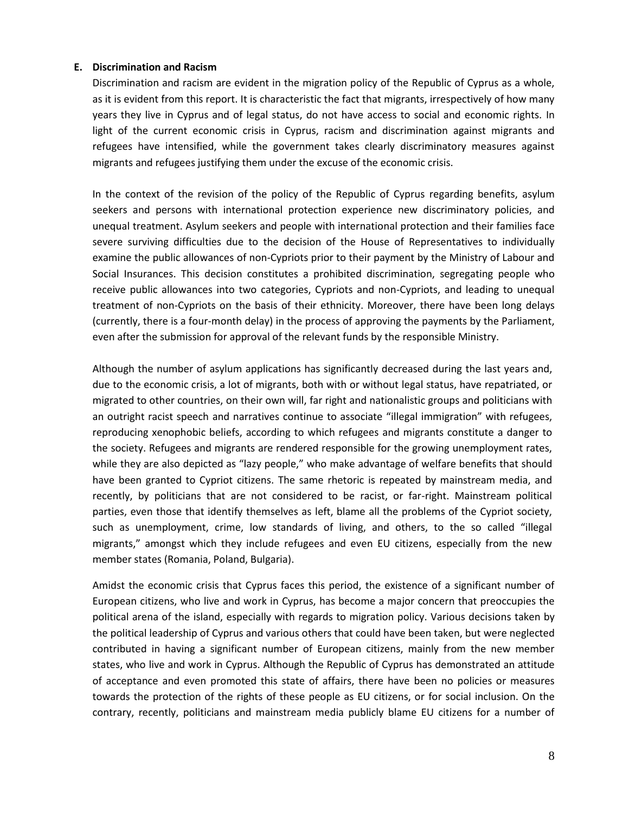#### **E. Discrimination and Racism**

Discrimination and racism are evident in the migration policy of the Republic of Cyprus as a whole, as it is evident from this report. It is characteristic the fact that migrants, irrespectively of how many years they live in Cyprus and of legal status, do not have access to social and economic rights. In light of the current economic crisis in Cyprus, racism and discrimination against migrants and refugees have intensified, while the government takes clearly discriminatory measures against migrants and refugees justifying them under the excuse of the economic crisis.

In the context of the revision of the policy of the Republic of Cyprus regarding benefits, asylum seekers and persons with international protection experience new discriminatory policies, and unequal treatment. Asylum seekers and people with international protection and their families face severe surviving difficulties due to the decision of the House of Representatives to individually examine the public allowances of non-Cypriots prior to their payment by the Ministry of Labour and Social Insurances. This decision constitutes a prohibited discrimination, segregating people who receive public allowances into two categories, Cypriots and non-Cypriots, and leading to unequal treatment of non-Cypriots on the basis of their ethnicity. Moreover, there have been long delays (currently, there is a four-month delay) in the process of approving the payments by the Parliament, even after the submission for approval of the relevant funds by the responsible Ministry.

Although the number of asylum applications has significantly decreased during the last years and, due to the economic crisis, a lot of migrants, both with or without legal status, have repatriated, or migrated to other countries, on their own will, far right and nationalistic groups and politicians with an outright racist speech and narratives continue to associate "illegal immigration" with refugees, reproducing xenophobic beliefs, according to which refugees and migrants constitute a danger to the society. Refugees and migrants are rendered responsible for the growing unemployment rates, while they are also depicted as "lazy people," who make advantage of welfare benefits that should have been granted to Cypriot citizens. The same rhetoric is repeated by mainstream media, and recently, by politicians that are not considered to be racist, or far-right. Mainstream political parties, even those that identify themselves as left, blame all the problems of the Cypriot society, such as unemployment, crime, low standards of living, and others, to the so called "illegal migrants," amongst which they include refugees and even EU citizens, especially from the new member states (Romania, Poland, Bulgaria).

Amidst the economic crisis that Cyprus faces this period, the existence of a significant number of European citizens, who live and work in Cyprus, has become a major concern that preoccupies the political arena of the island, especially with regards to migration policy. Various decisions taken by the political leadership of Cyprus and various others that could have been taken, but were neglected contributed in having a significant number of European citizens, mainly from the new member states, who live and work in Cyprus. Although the Republic of Cyprus has demonstrated an attitude of acceptance and even promoted this state of affairs, there have been no policies or measures towards the protection of the rights of these people as EU citizens, or for social inclusion. On the contrary, recently, politicians and mainstream media publicly blame EU citizens for a number of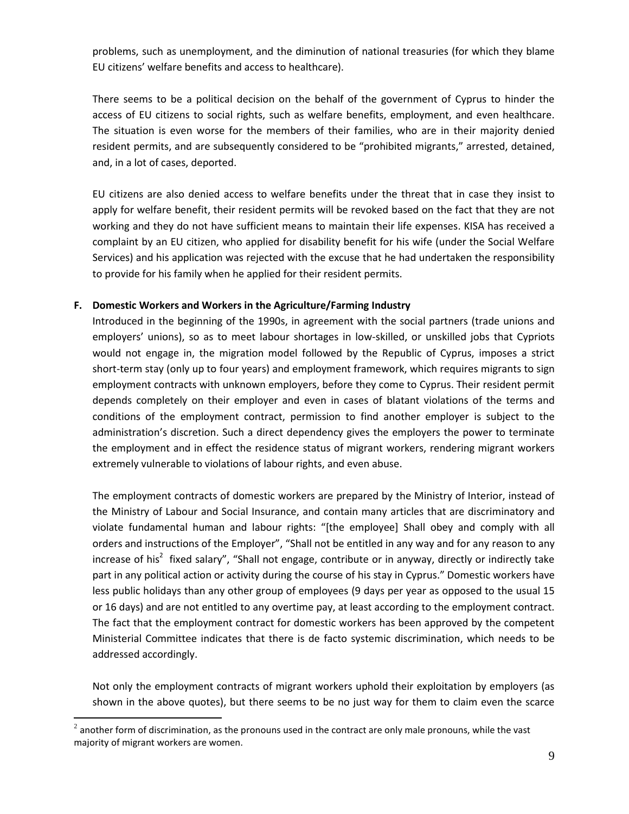problems, such as unemployment, and the diminution of national treasuries (for which they blame EU citizens' welfare benefits and access to healthcare).

There seems to be a political decision on the behalf of the government of Cyprus to hinder the access of EU citizens to social rights, such as welfare benefits, employment, and even healthcare. The situation is even worse for the members of their families, who are in their majority denied resident permits, and are subsequently considered to be "prohibited migrants," arrested, detained, and, in a lot of cases, deported.

EU citizens are also denied access to welfare benefits under the threat that in case they insist to apply for welfare benefit, their resident permits will be revoked based on the fact that they are not working and they do not have sufficient means to maintain their life expenses. KISA has received a complaint by an EU citizen, who applied for disability benefit for his wife (under the Social Welfare Services) and his application was rejected with the excuse that he had undertaken the responsibility to provide for his family when he applied for their resident permits.

### **F. Domestic Workers and Workers in the Agriculture/Farming Industry**

Introduced in the beginning of the 1990s, in agreement with the social partners (trade unions and employers' unions), so as to meet labour shortages in low-skilled, or unskilled jobs that Cypriots would not engage in, the migration model followed by the Republic of Cyprus, imposes a strict short-term stay (only up to four years) and employment framework, which requires migrants to sign employment contracts with unknown employers, before they come to Cyprus. Their resident permit depends completely on their employer and even in cases of blatant violations of the terms and conditions of the employment contract, permission to find another employer is subject to the administration's discretion. Such a direct dependency gives the employers the power to terminate the employment and in effect the residence status of migrant workers, rendering migrant workers extremely vulnerable to violations of labour rights, and even abuse.

The employment contracts of domestic workers are prepared by the Ministry of Interior, instead of the Ministry of Labour and Social Insurance, and contain many articles that are discriminatory and violate fundamental human and labour rights: "[the employee] Shall obey and comply with all orders and instructions of the Employer", "Shall not be entitled in any way and for any reason to any increase of his<sup>2</sup> fixed salary", "Shall not engage, contribute or in anyway, directly or indirectly take part in any political action or activity during the course of his stay in Cyprus." Domestic workers have less public holidays than any other group of employees (9 days per year as opposed to the usual 15 or 16 days) and are not entitled to any overtime pay, at least according to the employment contract. The fact that the employment contract for domestic workers has been approved by the competent Ministerial Committee indicates that there is de facto systemic discrimination, which needs to be addressed accordingly.

Not only the employment contracts of migrant workers uphold their exploitation by employers (as shown in the above quotes), but there seems to be no just way for them to claim even the scarce

 $\overline{\phantom{a}}$ 

 $^2$  another form of discrimination, as the pronouns used in the contract are only male pronouns, while the vast majority of migrant workers are women.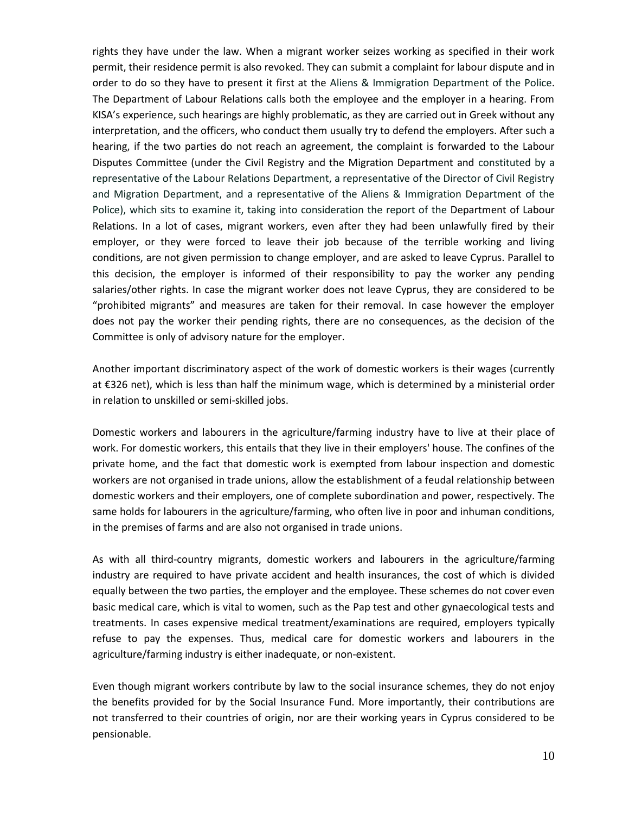rights they have under the law. When a migrant worker seizes working as specified in their work permit, their residence permit is also revoked. They can submit a complaint for labour dispute and in order to do so they have to present it first at the Aliens & Immigration Department of the Police. The Department of Labour Relations calls both the employee and the employer in a hearing. From KISA's experience, such hearings are highly problematic, as they are carried out in Greek without any interpretation, and the officers, who conduct them usually try to defend the employers. After such a hearing, if the two parties do not reach an agreement, the complaint is forwarded to the Labour Disputes Committee (under the Civil Registry and the Migration Department and constituted by a representative of the Labour Relations Department, a representative of the Director of Civil Registry and Migration Department, and a representative of the Aliens & Immigration Department of the Police), which sits to examine it, taking into consideration the report of the Department of Labour Relations. In a lot of cases, migrant workers, even after they had been unlawfully fired by their employer, or they were forced to leave their job because of the terrible working and living conditions, are not given permission to change employer, and are asked to leave Cyprus. Parallel to this decision, the employer is informed of their responsibility to pay the worker any pending salaries/other rights. In case the migrant worker does not leave Cyprus, they are considered to be "prohibited migrants" and measures are taken for their removal. In case however the employer does not pay the worker their pending rights, there are no consequences, as the decision of the Committee is only of advisory nature for the employer.

Another important discriminatory aspect of the work of domestic workers is their wages (currently at €326 net), which is less than half the minimum wage, which is determined by a ministerial order in relation to unskilled or semi-skilled jobs.

Domestic workers and labourers in the agriculture/farming industry have to live at their place of work. For domestic workers, this entails that they live in their employers' house. The confines of the private home, and the fact that domestic work is exempted from labour inspection and domestic workers are not organised in trade unions, allow the establishment of a feudal relationship between domestic workers and their employers, one of complete subordination and power, respectively. The same holds for labourers in the agriculture/farming, who often live in poor and inhuman conditions, in the premises of farms and are also not organised in trade unions.

As with all third-country migrants, domestic workers and labourers in the agriculture/farming industry are required to have private accident and health insurances, the cost of which is divided equally between the two parties, the employer and the employee. These schemes do not cover even basic medical care, which is vital to women, such as the Pap test and other gynaecological tests and treatments. In cases expensive medical treatment/examinations are required, employers typically refuse to pay the expenses. Thus, medical care for domestic workers and labourers in the agriculture/farming industry is either inadequate, or non-existent.

Even though migrant workers contribute by law to the social insurance schemes, they do not enjoy the benefits provided for by the Social Insurance Fund. More importantly, their contributions are not transferred to their countries of origin, nor are their working years in Cyprus considered to be pensionable.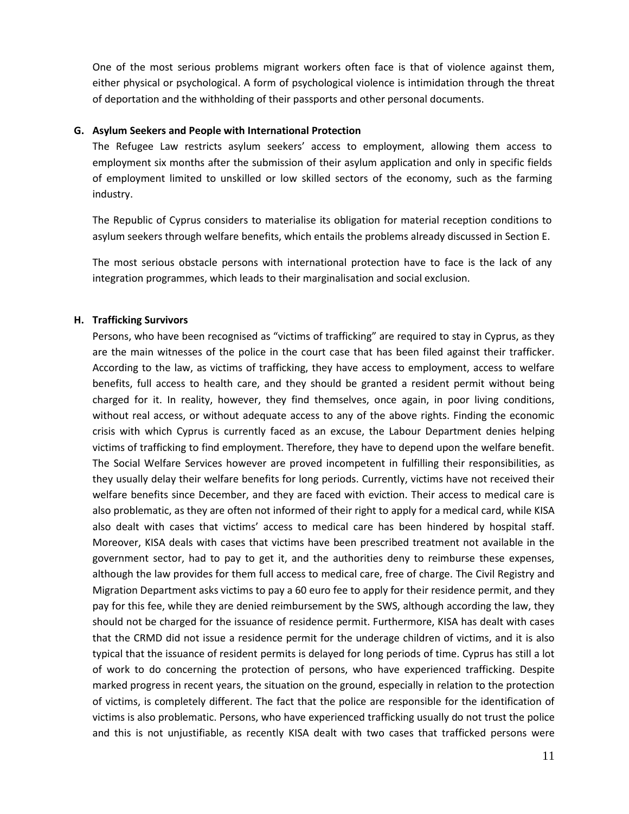One of the most serious problems migrant workers often face is that of violence against them, either physical or psychological. A form of psychological violence is intimidation through the threat of deportation and the withholding of their passports and other personal documents.

#### **G. Asylum Seekers and People with International Protection**

The Refugee Law restricts asylum seekers' access to employment, allowing them access to employment six months after the submission of their asylum application and only in specific fields of employment limited to unskilled or low skilled sectors of the economy, such as the farming industry.

The Republic of Cyprus considers to materialise its obligation for material reception conditions to asylum seekers through welfare benefits, which entails the problems already discussed in Section E.

The most serious obstacle persons with international protection have to face is the lack of any integration programmes, which leads to their marginalisation and social exclusion.

#### **H. Trafficking Survivors**

Persons, who have been recognised as "victims of trafficking" are required to stay in Cyprus, as they are the main witnesses of the police in the court case that has been filed against their trafficker. According to the law, as victims of trafficking, they have access to employment, access to welfare benefits, full access to health care, and they should be granted a resident permit without being charged for it. In reality, however, they find themselves, once again, in poor living conditions, without real access, or without adequate access to any of the above rights. Finding the economic crisis with which Cyprus is currently faced as an excuse, the Labour Department denies helping victims of trafficking to find employment. Therefore, they have to depend upon the welfare benefit. The Social Welfare Services however are proved incompetent in fulfilling their responsibilities, as they usually delay their welfare benefits for long periods. Currently, victims have not received their welfare benefits since December, and they are faced with eviction. Their access to medical care is also problematic, as they are often not informed of their right to apply for a medical card, while KISA also dealt with cases that victims' access to medical care has been hindered by hospital staff. Moreover, KISA deals with cases that victims have been prescribed treatment not available in the government sector, had to pay to get it, and the authorities deny to reimburse these expenses, although the law provides for them full access to medical care, free of charge. The Civil Registry and Migration Department asks victims to pay a 60 euro fee to apply for their residence permit, and they pay for this fee, while they are denied reimbursement by the SWS, although according the law, they should not be charged for the issuance of residence permit. Furthermore, KISA has dealt with cases that the CRMD did not issue a residence permit for the underage children of victims, and it is also typical that the issuance of resident permits is delayed for long periods of time. Cyprus has still a lot of work to do concerning the protection of persons, who have experienced trafficking. Despite marked progress in recent years, the situation on the ground, especially in relation to the protection of victims, is completely different. The fact that the police are responsible for the identification of victims is also problematic. Persons, who have experienced trafficking usually do not trust the police and this is not unjustifiable, as recently KISA dealt with two cases that trafficked persons were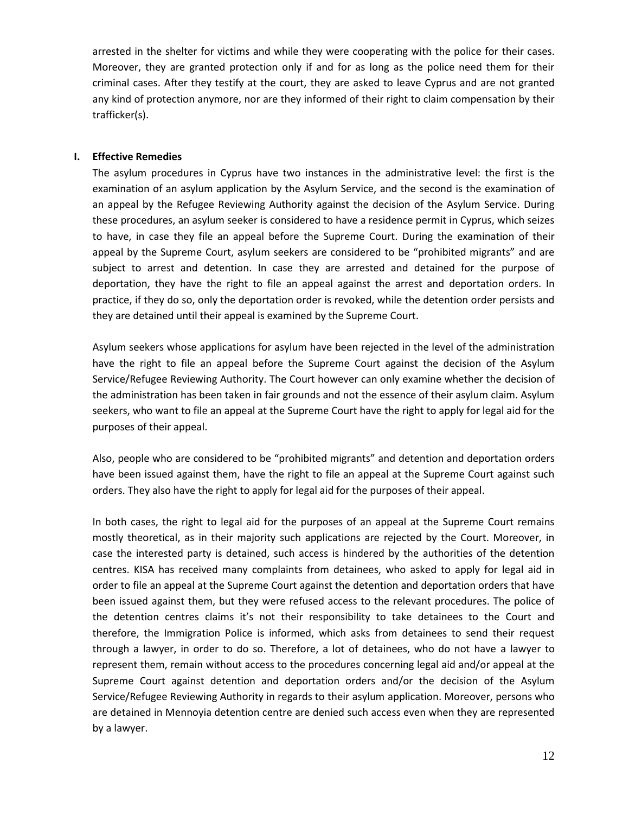arrested in the shelter for victims and while they were cooperating with the police for their cases. Moreover, they are granted protection only if and for as long as the police need them for their criminal cases. After they testify at the court, they are asked to leave Cyprus and are not granted any kind of protection anymore, nor are they informed of their right to claim compensation by their trafficker(s).

#### **I. Effective Remedies**

The asylum procedures in Cyprus have two instances in the administrative level: the first is the examination of an asylum application by the Asylum Service, and the second is the examination of an appeal by the Refugee Reviewing Authority against the decision of the Asylum Service. During these procedures, an asylum seeker is considered to have a residence permit in Cyprus, which seizes to have, in case they file an appeal before the Supreme Court. During the examination of their appeal by the Supreme Court, asylum seekers are considered to be "prohibited migrants" and are subject to arrest and detention. In case they are arrested and detained for the purpose of deportation, they have the right to file an appeal against the arrest and deportation orders. In practice, if they do so, only the deportation order is revoked, while the detention order persists and they are detained until their appeal is examined by the Supreme Court.

Asylum seekers whose applications for asylum have been rejected in the level of the administration have the right to file an appeal before the Supreme Court against the decision of the Asylum Service/Refugee Reviewing Authority. The Court however can only examine whether the decision of the administration has been taken in fair grounds and not the essence of their asylum claim. Asylum seekers, who want to file an appeal at the Supreme Court have the right to apply for legal aid for the purposes of their appeal.

Also, people who are considered to be "prohibited migrants" and detention and deportation orders have been issued against them, have the right to file an appeal at the Supreme Court against such orders. They also have the right to apply for legal aid for the purposes of their appeal.

In both cases, the right to legal aid for the purposes of an appeal at the Supreme Court remains mostly theoretical, as in their majority such applications are rejected by the Court. Moreover, in case the interested party is detained, such access is hindered by the authorities of the detention centres. KISA has received many complaints from detainees, who asked to apply for legal aid in order to file an appeal at the Supreme Court against the detention and deportation orders that have been issued against them, but they were refused access to the relevant procedures. The police of the detention centres claims it's not their responsibility to take detainees to the Court and therefore, the Immigration Police is informed, which asks from detainees to send their request through a lawyer, in order to do so. Therefore, a lot of detainees, who do not have a lawyer to represent them, remain without access to the procedures concerning legal aid and/or appeal at the Supreme Court against detention and deportation orders and/or the decision of the Asylum Service/Refugee Reviewing Authority in regards to their asylum application. Moreover, persons who are detained in Mennoyia detention centre are denied such access even when they are represented by a lawyer.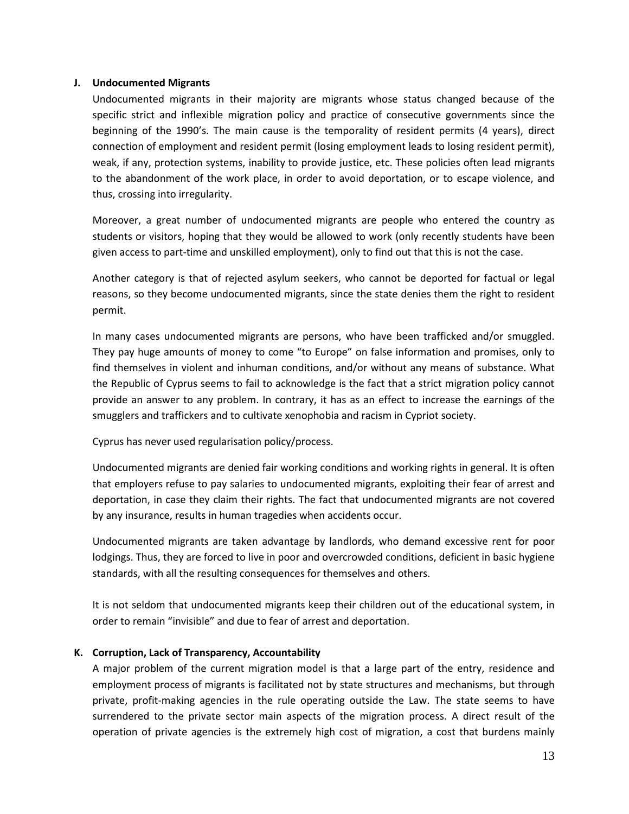#### **J. Undocumented Migrants**

Undocumented migrants in their majority are migrants whose status changed because of the specific strict and inflexible migration policy and practice of consecutive governments since the beginning of the 1990's. The main cause is the temporality of resident permits (4 years), direct connection of employment and resident permit (losing employment leads to losing resident permit), weak, if any, protection systems, inability to provide justice, etc. These policies often lead migrants to the abandonment of the work place, in order to avoid deportation, or to escape violence, and thus, crossing into irregularity.

Moreover, a great number of undocumented migrants are people who entered the country as students or visitors, hoping that they would be allowed to work (only recently students have been given access to part-time and unskilled employment), only to find out that this is not the case.

Another category is that of rejected asylum seekers, who cannot be deported for factual or legal reasons, so they become undocumented migrants, since the state denies them the right to resident permit.

In many cases undocumented migrants are persons, who have been trafficked and/or smuggled. They pay huge amounts of money to come "to Europe" on false information and promises, only to find themselves in violent and inhuman conditions, and/or without any means of substance. What the Republic of Cyprus seems to fail to acknowledge is the fact that a strict migration policy cannot provide an answer to any problem. In contrary, it has as an effect to increase the earnings of the smugglers and traffickers and to cultivate xenophobia and racism in Cypriot society.

Cyprus has never used regularisation policy/process.

Undocumented migrants are denied fair working conditions and working rights in general. It is often that employers refuse to pay salaries to undocumented migrants, exploiting their fear of arrest and deportation, in case they claim their rights. The fact that undocumented migrants are not covered by any insurance, results in human tragedies when accidents occur.

Undocumented migrants are taken advantage by landlords, who demand excessive rent for poor lodgings. Thus, they are forced to live in poor and overcrowded conditions, deficient in basic hygiene standards, with all the resulting consequences for themselves and others.

It is not seldom that undocumented migrants keep their children out of the educational system, in order to remain "invisible" and due to fear of arrest and deportation.

## **K. Corruption, Lack of Transparency, Accountability**

A major problem of the current migration model is that a large part of the entry, residence and employment process of migrants is facilitated not by state structures and mechanisms, but through private, profit-making agencies in the rule operating outside the Law. The state seems to have surrendered to the private sector main aspects of the migration process. A direct result of the operation of private agencies is the extremely high cost of migration, a cost that burdens mainly